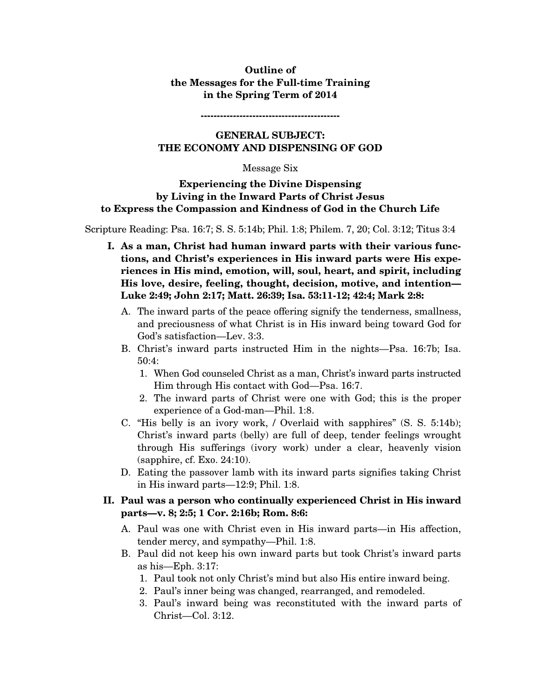**Outline of the Messages for the Full-time Training in the Spring Term of 2014** 

**GENERAL SUBJECT: THE ECONOMY AND DISPENSING OF GOD** 

**-------------------------------------------** 

Message Six

## **Experiencing the Divine Dispensing by Living in the Inward Parts of Christ Jesus to Express the Compassion and Kindness of God in the Church Life**

Scripture Reading: Psa. 16:7; S. S. 5:14b; Phil. 1:8; Philem. 7, 20; Col. 3:12; Titus 3:4

- **I. As a man, Christ had human inward parts with their various functions, and Christ's experiences in His inward parts were His experiences in His mind, emotion, will, soul, heart, and spirit, including His love, desire, feeling, thought, decision, motive, and intention— Luke 2:49; John 2:17; Matt. 26:39; Isa. 53:11-12; 42:4; Mark 2:8:** 
	- A. The inward parts of the peace offering signify the tenderness, smallness, and preciousness of what Christ is in His inward being toward God for God's satisfaction—Lev. 3:3.
	- B. Christ's inward parts instructed Him in the nights—Psa. 16:7b; Isa. 50:4:
		- 1. When God counseled Christ as a man, Christ's inward parts instructed Him through His contact with God—Psa. 16:7.
		- 2. The inward parts of Christ were one with God; this is the proper experience of a God-man—Phil. 1:8.
	- C. "His belly is an ivory work, / Overlaid with sapphires" (S. S. 5:14b); Christ's inward parts (belly) are full of deep, tender feelings wrought through His sufferings (ivory work) under a clear, heavenly vision (sapphire, cf. Exo. 24:10).
	- D. Eating the passover lamb with its inward parts signifies taking Christ in His inward parts—12:9; Phil. 1:8.
- **II. Paul was a person who continually experienced Christ in His inward parts—v. 8; 2:5; 1 Cor. 2:16b; Rom. 8:6:** 
	- A. Paul was one with Christ even in His inward parts—in His affection, tender mercy, and sympathy—Phil. 1:8.
	- B. Paul did not keep his own inward parts but took Christ's inward parts as his—Eph. 3:17:
		- 1. Paul took not only Christ's mind but also His entire inward being.
		- 2. Paul's inner being was changed, rearranged, and remodeled.
		- 3. Paul's inward being was reconstituted with the inward parts of Christ—Col. 3:12.